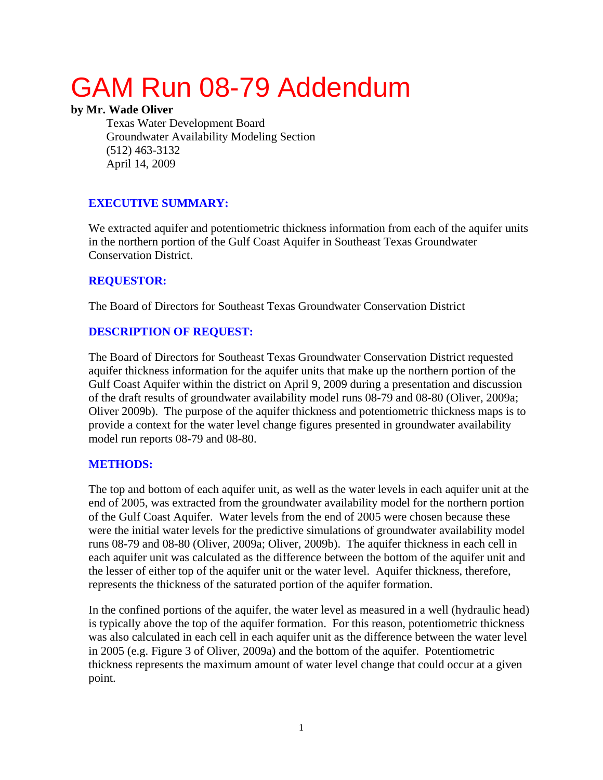# GAM Run 08-79 Addendum

#### **by Mr. Wade Oliver**

Texas Water Development Board Groundwater Availability Modeling Section (512) 463-3132 April 14, 2009

# **EXECUTIVE SUMMARY:**

We extracted aquifer and potentiometric thickness information from each of the aquifer units in the northern portion of the Gulf Coast Aquifer in Southeast Texas Groundwater Conservation District.

# **REQUESTOR:**

The Board of Directors for Southeast Texas Groundwater Conservation District

# **DESCRIPTION OF REQUEST:**

The Board of Directors for Southeast Texas Groundwater Conservation District requested aquifer thickness information for the aquifer units that make up the northern portion of the Gulf Coast Aquifer within the district on April 9, 2009 during a presentation and discussion of the draft results of groundwater availability model runs 08-79 and 08-80 (Oliver, 2009a; Oliver 2009b). The purpose of the aquifer thickness and potentiometric thickness maps is to provide a context for the water level change figures presented in groundwater availability model run reports 08-79 and 08-80.

## **METHODS:**

The top and bottom of each aquifer unit, as well as the water levels in each aquifer unit at the end of 2005, was extracted from the groundwater availability model for the northern portion of the Gulf Coast Aquifer. Water levels from the end of 2005 were chosen because these were the initial water levels for the predictive simulations of groundwater availability model runs 08-79 and 08-80 (Oliver, 2009a; Oliver, 2009b). The aquifer thickness in each cell in each aquifer unit was calculated as the difference between the bottom of the aquifer unit and the lesser of either top of the aquifer unit or the water level. Aquifer thickness, therefore, represents the thickness of the saturated portion of the aquifer formation.

In the confined portions of the aquifer, the water level as measured in a well (hydraulic head) is typically above the top of the aquifer formation. For this reason, potentiometric thickness was also calculated in each cell in each aquifer unit as the difference between the water level in 2005 (e.g. Figure 3 of Oliver, 2009a) and the bottom of the aquifer. Potentiometric thickness represents the maximum amount of water level change that could occur at a given point.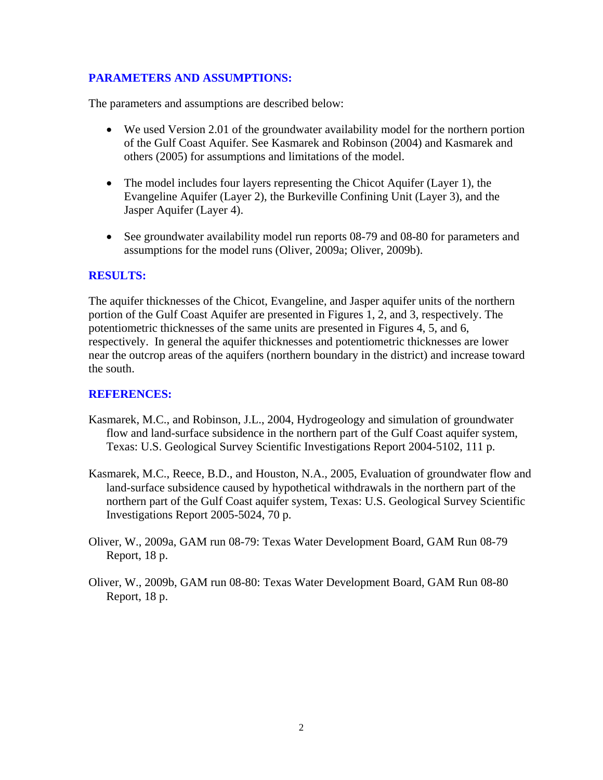## **PARAMETERS AND ASSUMPTIONS:**

The parameters and assumptions are described below:

- We used Version 2.01 of the groundwater availability model for the northern portion of the Gulf Coast Aquifer. See Kasmarek and Robinson (2004) and Kasmarek and others (2005) for assumptions and limitations of the model.
- The model includes four layers representing the Chicot Aquifer (Layer 1), the Evangeline Aquifer (Layer 2), the Burkeville Confining Unit (Layer 3), and the Jasper Aquifer (Layer 4).
- See groundwater availability model run reports 08-79 and 08-80 for parameters and assumptions for the model runs (Oliver, 2009a; Oliver, 2009b).

#### **RESULTS:**

The aquifer thicknesses of the Chicot, Evangeline, and Jasper aquifer units of the northern portion of the Gulf Coast Aquifer are presented in Figures 1, 2, and 3, respectively. The potentiometric thicknesses of the same units are presented in Figures 4, 5, and 6, respectively. In general the aquifer thicknesses and potentiometric thicknesses are lower near the outcrop areas of the aquifers (northern boundary in the district) and increase toward the south.

#### **REFERENCES:**

- Kasmarek, M.C., and Robinson, J.L., 2004, Hydrogeology and simulation of groundwater flow and land-surface subsidence in the northern part of the Gulf Coast aquifer system, Texas: U.S. Geological Survey Scientific Investigations Report 2004-5102, 111 p.
- Kasmarek, M.C., Reece, B.D., and Houston, N.A., 2005, Evaluation of groundwater flow and land-surface subsidence caused by hypothetical withdrawals in the northern part of the northern part of the Gulf Coast aquifer system, Texas: U.S. Geological Survey Scientific Investigations Report 2005-5024, 70 p.
- Oliver, W., 2009a, GAM run 08-79: Texas Water Development Board, GAM Run 08-79 Report, 18 p.
- Oliver, W., 2009b, GAM run 08-80: Texas Water Development Board, GAM Run 08-80 Report, 18 p.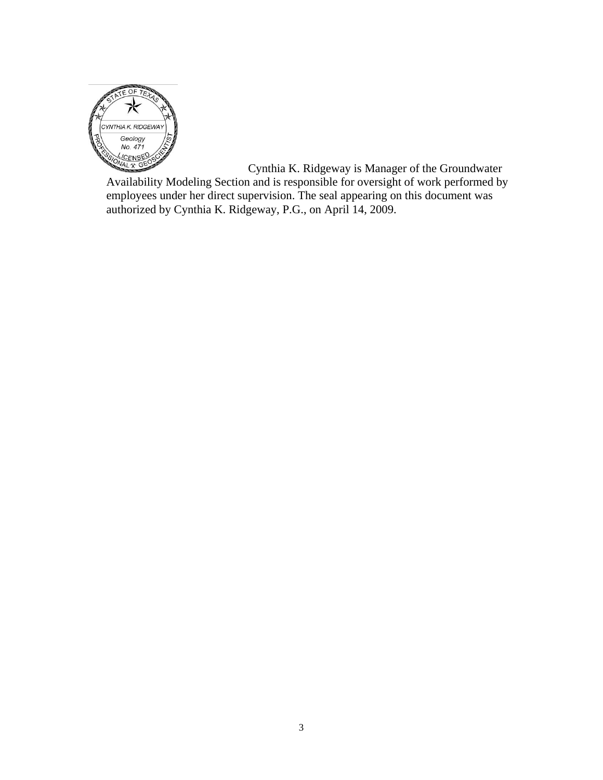

 Cynthia K. Ridgeway is Manager of the Groundwater Availability Modeling Section and is responsible for oversight of work performed by employees under her direct supervision. The seal appearing on this document was authorized by Cynthia K. Ridgeway, P.G., on April 14, 2009.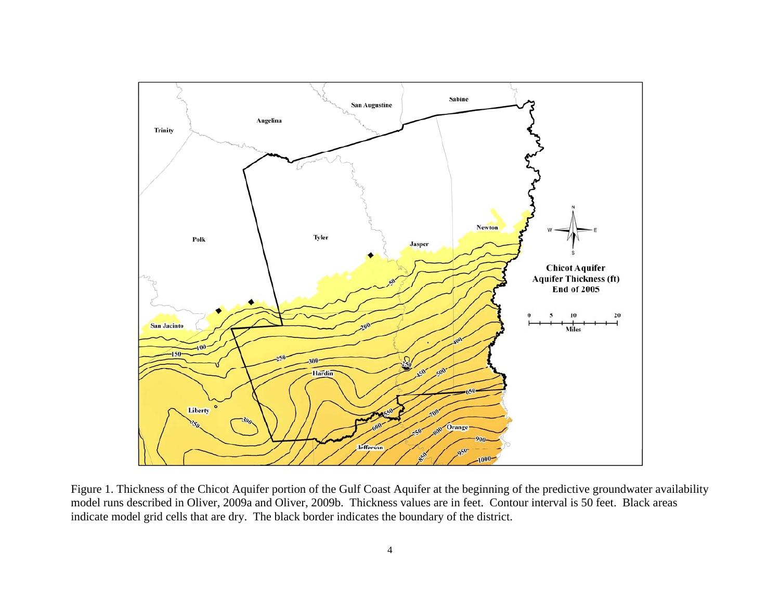

Figure 1. Thickness of the Chicot Aquifer portion of the Gulf Coast Aquifer at the beginning of the predictive groundwater availability model runs described in Oliver, 2009a and Oliver, 2009b. Thickness values are in feet. Contour interval is 50 feet. Black areas indicate model grid cells that are dry. The black border indicates the boundary of the district.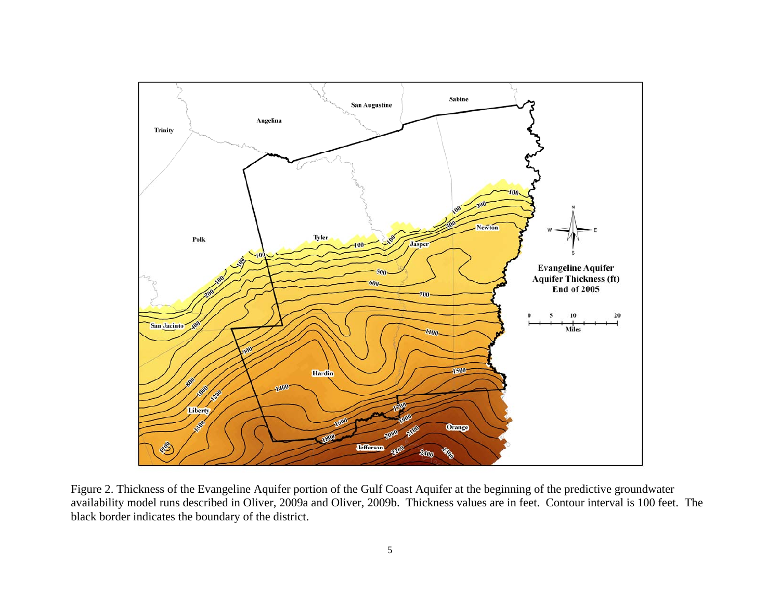

Figure 2. Thickness of the Evangeline Aquifer portion of the Gulf Coast Aquifer at the beginning of the predictive groundwater availability model runs described in Oliver, 2009a and Oliver, 2009b. Thickness values are in feet. Contour interval is 100 feet. The black border indicates the boundary of the district.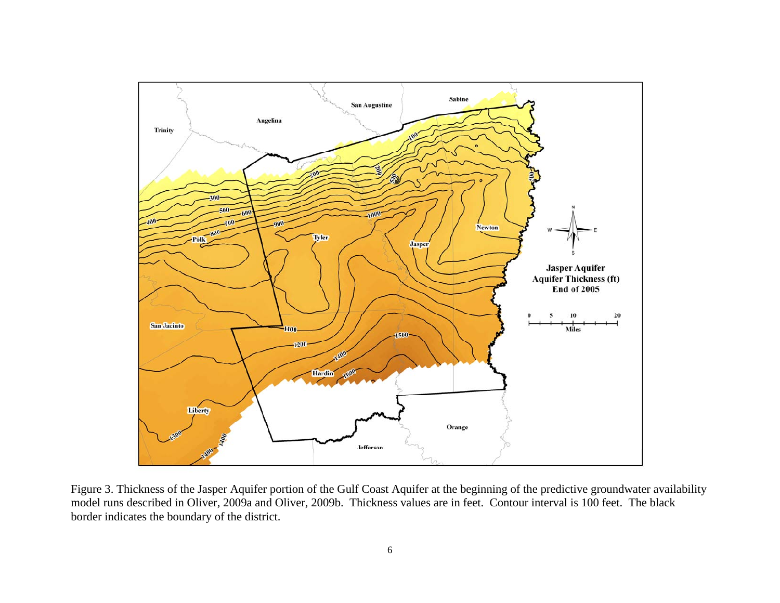

Figure 3. Thickness of the Jasper Aquifer portion of the Gulf Coast Aquifer at the beginning of the predictive groundwater availability model runs described in Oliver, 2009a and Oliver, 2009b. Thickness values are in feet. Contour interval is 100 feet. The black border indicates the boundary of the district.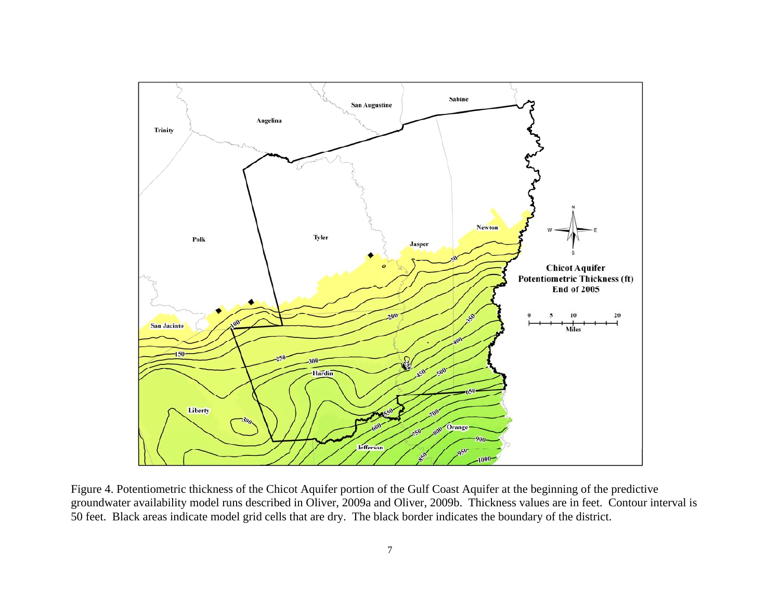

Figure 4. Potentiometric thickness of the Chicot Aquifer portion of the Gulf Coast Aquifer at the beginning of the predictive groundwater availability model runs described in Oliver, 2009a and Oliver, 2009b. Thickness values are in feet. Contour interval is 50 feet. Black areas indicate model grid cells that are dry. The black border indicates the boundary of the district.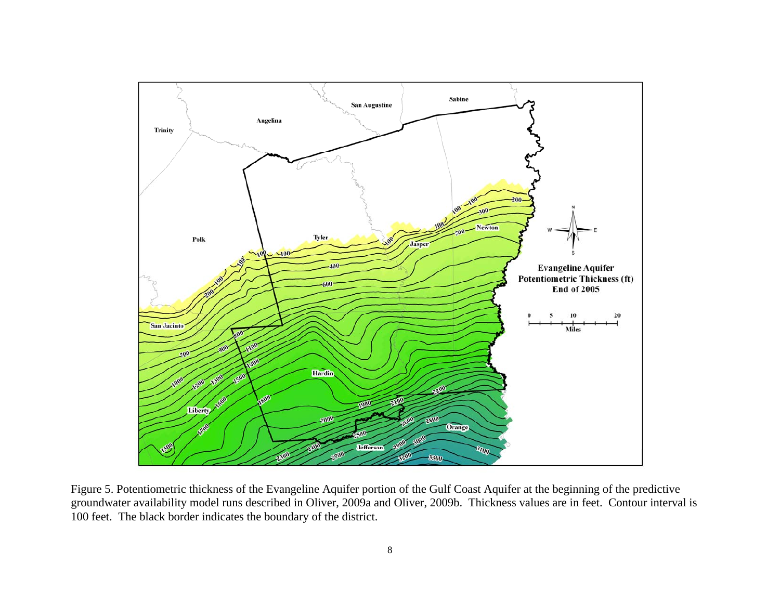

Figure 5. Potentiometric thickness of the Evangeline Aquifer portion of the Gulf Coast Aquifer at the beginning of the predictive groundwater availability model runs described in Oliver, 2009a and Oliver, 2009b. Thickness values are in feet. Contour interval is 100 feet. The black border indicates the boundary of the district.